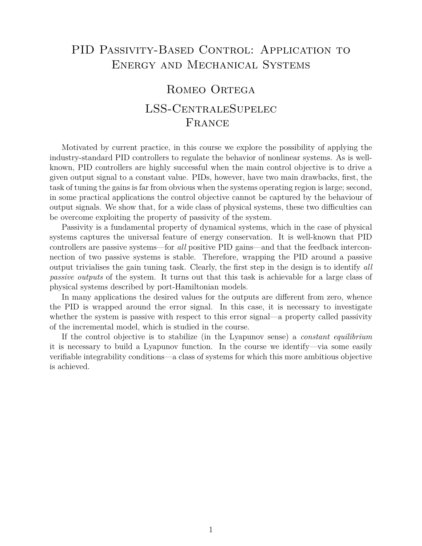## PID PASSIVITY-BASED CONTROL: APPLICATION TO Energy and Mechanical Systems

## Romeo Ortega LSS-CentraleSupelec FRANCE

Motivated by current practice, in this course we explore the possibility of applying the industry-standard PID controllers to regulate the behavior of nonlinear systems. As is wellknown, PID controllers are highly successful when the main control objective is to drive a given output signal to a constant value. PIDs, however, have two main drawbacks, first, the task of tuning the gains is far from obvious when the systems operating region is large; second, in some practical applications the control objective cannot be captured by the behaviour of output signals. We show that, for a wide class of physical systems, these two difficulties can be overcome exploiting the property of passivity of the system.

Passivity is a fundamental property of dynamical systems, which in the case of physical systems captures the universal feature of energy conservation. It is well-known that PID controllers are passive systems—for *all* positive PID gains—and that the feedback interconnection of two passive systems is stable. Therefore, wrapping the PID around a passive output trivialises the gain tuning task. Clearly, the first step in the design is to identify *all passive outputs* of the system. It turns out that this task is achievable for a large class of physical systems described by port-Hamiltonian models.

In many applications the desired values for the outputs are different from zero, whence the PID is wrapped around the error signal. In this case, it is necessary to investigate whether the system is passive with respect to this error signal—a property called passivity of the incremental model, which is studied in the course.

If the control objective is to stabilize (in the Lyapunov sense) a *constant equilibrium* it is necessary to build a Lyapunov function. In the course we identify—via some easily verifiable integrability conditions—a class of systems for which this more ambitious objective is achieved.